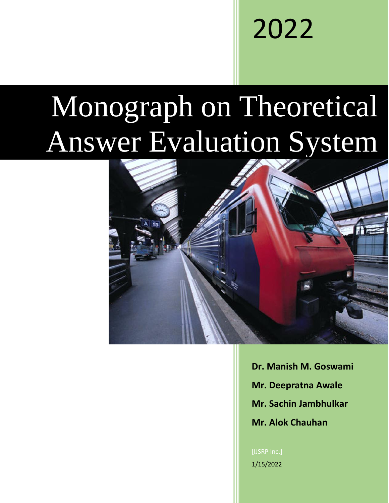# 2022

# Monograph on Theoretical Answer Evaluation System



**Dr. Manish M. Goswami Mr. Deepratna Awale Mr. Sachin Jambhulkar Mr. Alok Chauhan**

[IJSRP Inc.] 1/15/2022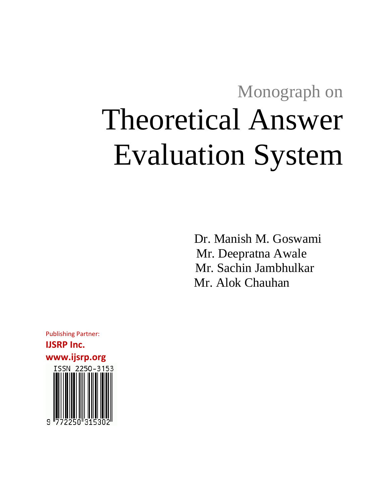# Monograph on Theoretical Answer Evaluation System

 Dr. Manish M. Goswami Mr. Deepratna Awale Mr. Sachin Jambhulkar Mr. Alok Chauhan

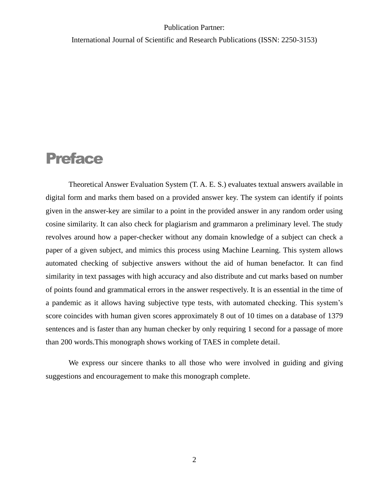International Journal of Scientific and Research Publications (ISSN: 2250-3153)

# Preface

Theoretical Answer Evaluation System (T. A. E. S.) evaluates textual answers available in digital form and marks them based on a provided answer key. The system can identify if points given in the answer-key are similar to a point in the provided answer in any random order using cosine similarity. It can also check for plagiarism and grammaron a preliminary level. The study revolves around how a paper-checker without any domain knowledge of a subject can check a paper of a given subject, and mimics this process using Machine Learning. This system allows automated checking of subjective answers without the aid of human benefactor. It can find similarity in text passages with high accuracy and also distribute and cut marks based on number of points found and grammatical errors in the answer respectively. It is an essential in the time of a pandemic as it allows having subjective type tests, with automated checking. This system's score coincides with human given scores approximately 8 out of 10 times on a database of 1379 sentences and is faster than any human checker by only requiring 1 second for a passage of more than 200 words.This monograph shows working of TAES in complete detail.

We express our sincere thanks to all those who were involved in guiding and giving suggestions and encouragement to make this monograph complete.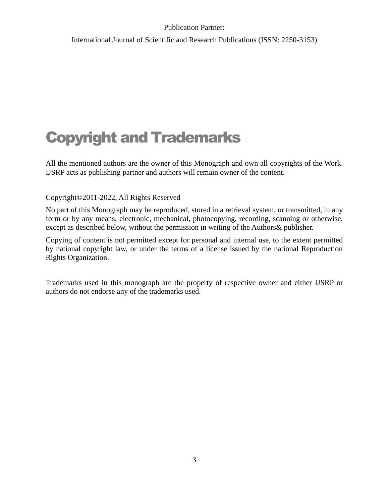International Journal of Scientific and Research Publications (ISSN: 2250-3153)

# Copyright and Trademarks

All the mentioned authors are the owner of this Monograph and own all copyrights of the Work. IJSRP acts as publishing partner and authors will remain owner of the content.

Copyright©2011-2022, All Rights Reserved

No part of this Monograph may be reproduced, stored in a retrieval system, or transmitted, in any form or by any means, electronic, mechanical, photocopying, recording, scanning or otherwise, except as described below, without the permission in writing of the Authors& publisher.

Copying of content is not permitted except for personal and internal use, to the extent permitted by national copyright law, or under the terms of a license issued by the national Reproduction Rights Organization.

Trademarks used in this monograph are the property of respective owner and either IJSRP or authors do not endorse any of the trademarks used.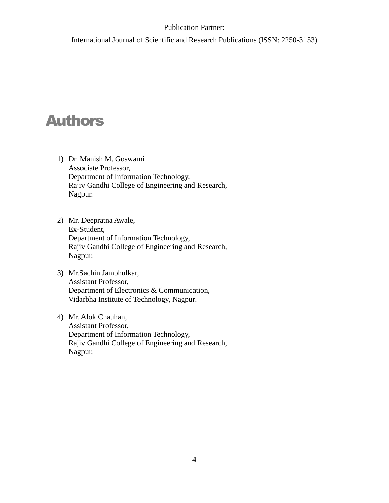International Journal of Scientific and Research Publications (ISSN: 2250-3153)

# Authors

- 1) Dr. Manish M. Goswami Associate Professor, Department of Information Technology, Rajiv Gandhi College of Engineering and Research, Nagpur.
- 2) Mr. Deepratna Awale, Ex-Student, Department of Information Technology, Rajiv Gandhi College of Engineering and Research, Nagpur.
- 3) Mr.Sachin Jambhulkar, Assistant Professor, Department of Electronics & Communication, Vidarbha Institute of Technology, Nagpur.
- 4) Mr. Alok Chauhan, Assistant Professor, Department of Information Technology, Rajiv Gandhi College of Engineering and Research, Nagpur.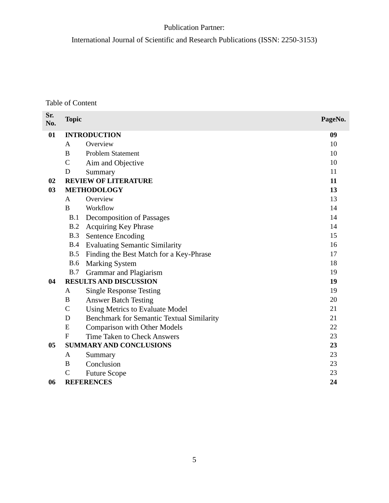International Journal of Scientific and Research Publications (ISSN: 2250-3153)

Table of Content

| Sr.<br>No. | <b>Topic</b>   |                                                  | PageNo. |
|------------|----------------|--------------------------------------------------|---------|
| 01         |                | <b>INTRODUCTION</b>                              | 09      |
|            | A              | Overview                                         | 10      |
|            | B              | <b>Problem Statement</b>                         | 10      |
|            | $\overline{C}$ | Aim and Objective                                | 10      |
|            | D              | Summary                                          | 11      |
| 02         |                | <b>REVIEW OF LITERATURE</b>                      | 11      |
| 03         |                | <b>METHODOLOGY</b>                               | 13      |
|            | A              | Overview                                         | 13      |
|            | B              | Workflow                                         | 14      |
|            | B.1            | Decomposition of Passages                        | 14      |
|            | B.2            | <b>Acquiring Key Phrase</b>                      | 14      |
|            | B.3            | <b>Sentence Encoding</b>                         | 15      |
|            | B.4            | <b>Evaluating Semantic Similarity</b>            | 16      |
|            | B.5            | Finding the Best Match for a Key-Phrase          | 17      |
|            | <b>B.6</b>     | <b>Marking System</b>                            | 18      |
|            | B.7            | Grammar and Plagiarism                           | 19      |
| 04         |                | <b>RESULTS AND DISCUSSION</b>                    | 19      |
|            | A              | <b>Single Response Testing</b>                   | 19      |
|            | B              | <b>Answer Batch Testing</b>                      | 20      |
|            | $\mathsf{C}$   | Using Metrics to Evaluate Model                  | 21      |
|            | D              | <b>Benchmark for Semantic Textual Similarity</b> | 21      |
|            | E              | <b>Comparison with Other Models</b>              | 22      |
|            | $\mathbf F$    | <b>Time Taken to Check Answers</b>               | 23      |
| 05         |                | <b>SUMMARY AND CONCLUSIONS</b>                   | 23      |
|            | A              | Summary                                          | 23      |
|            | B              | Conclusion                                       | 23      |
|            | $\mathcal{C}$  | <b>Future Scope</b>                              | 23      |
| 06         |                | <b>REFERENCES</b>                                | 24      |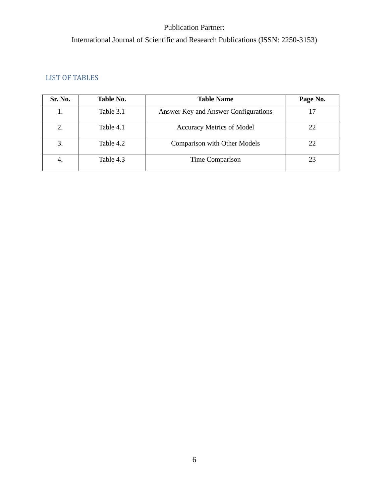# International Journal of Scientific and Research Publications (ISSN: 2250-3153)

### LIST OF TABLES

| Sr. No. | Table No. | <b>Table Name</b>                    | Page No. |
|---------|-----------|--------------------------------------|----------|
| Ī.      | Table 3.1 | Answer Key and Answer Configurations | 17       |
| 2.      | Table 4.1 | <b>Accuracy Metrics of Model</b>     | 22       |
| 3.      | Table 4.2 | <b>Comparison with Other Models</b>  | 22       |
| 4.      | Table 4.3 | Time Comparison                      | 23       |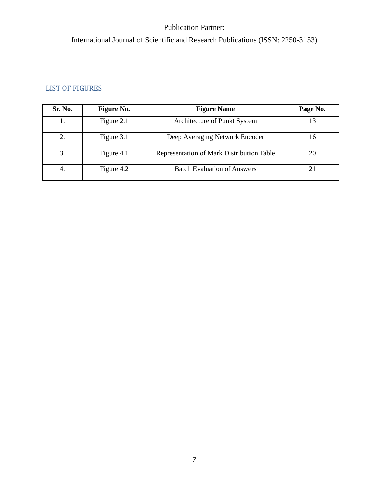# International Journal of Scientific and Research Publications (ISSN: 2250-3153)

### LIST OF FIGURES

| Sr. No. | <b>Figure No.</b> | <b>Figure Name</b>                        | Page No. |
|---------|-------------------|-------------------------------------------|----------|
| 1.      | Figure 2.1        | Architecture of Punkt System              | 13       |
|         | Figure 3.1        | Deep Averaging Network Encoder            | 16       |
| 3.      | Figure 4.1        | Representation of Mark Distribution Table | 20       |
| -4.     | Figure 4.2        | <b>Batch Evaluation of Answers</b>        | 21       |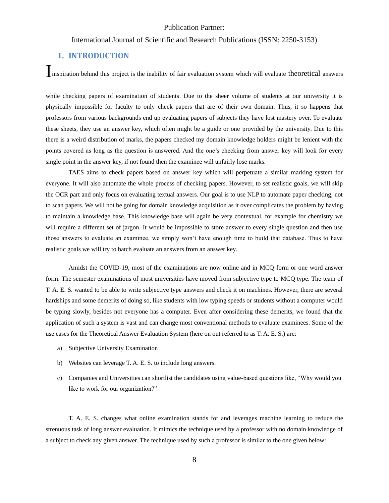#### International Journal of Scientific and Research Publications (ISSN: 2250-3153)

#### **1. INTRODUCTION**

Inspiration behind this project is the inability of fair evaluation system which will evaluate theoretical answers

while checking papers of examination of students. Due to the sheer volume of students at our university it is physically impossible for faculty to only check papers that are of their own domain. Thus, it so happens that professors from various backgrounds end up evaluating papers of subjects they have lost mastery over. To evaluate these sheets, they use an answer key, which often might be a guide or one provided by the university. Due to this there is a weird distribution of marks, the papers checked my domain knowledge holders might be lenient with the points covered as long as the question is answered. And the one's checking from answer key will look for every single point in the answer key, if not found then the examinee will unfairly lose marks.

TAES aims to check papers based on answer key which will perpetuate a similar marking system for everyone. It will also automate the whole process of checking papers. However, to set realistic goals, we will skip the OCR part and only focus on evaluating textual answers. Our goal is to use NLP to automate paper checking, not to scan papers. We will not be going for domain knowledge acquisition as it over complicates the problem by having to maintain a knowledge base. This knowledge base will again be very contextual, for example for chemistry we will require a different set of jargon. It would be impossible to store answer to every single question and then use those answers to evaluate an examinee, we simply won't have enough time to build that database. Thus to have realistic goals we will try to batch evaluate an answers from an answer key.

Amidst the COVID-19, most of the examinations are now online and in MCQ form or one word answer form. The semester examinations of most universities have moved from subjective type to MCQ type. The team of T. A. E. S. wanted to be able to write subjective type answers and check it on machines. However, there are several hardships and some demerits of doing so, like students with low typing speeds or students without a computer would be typing slowly, besides not everyone has a computer. Even after considering these demerits, we found that the application of such a system is vast and can change most conventional methods to evaluate examinees. Some of the use cases for the Theoretical Answer Evaluation System (here on out referred to as T. A. E. S.) are:

- a) Subjective University Examination
- b) Websites can leverage T. A. E. S. to include long answers.
- c) Companies and Universities can shortlist the candidates using value-based questions like, "Why would you like to work for our organization?"

T. A. E. S. changes what online examination stands for and leverages machine learning to reduce the strenuous task of long answer evaluation. It mimics the technique used by a professor with no domain knowledge of a subject to check any given answer. The technique used by such a professor is similar to the one given below: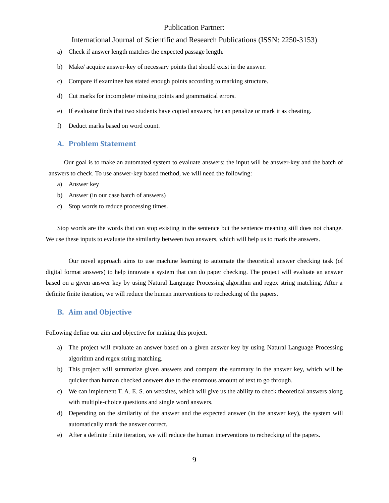#### International Journal of Scientific and Research Publications (ISSN: 2250-3153)

- a) Check if answer length matches the expected passage length.
- b) Make/ acquire answer-key of necessary points that should exist in the answer.
- c) Compare if examinee has stated enough points according to marking structure.
- d) Cut marks for incomplete/ missing points and grammatical errors.
- e) If evaluator finds that two students have copied answers, he can penalize or mark it as cheating.
- f) Deduct marks based on word count.

#### **A. Problem Statement**

Our goal is to make an automated system to evaluate answers; the input will be answer-key and the batch of answers to check. To use answer-key based method, we will need the following:

- a) Answer key
- b) Answer (in our case batch of answers)
- c) Stop words to reduce processing times.

Stop words are the words that can stop existing in the sentence but the sentence meaning still does not change. We use these inputs to evaluate the similarity between two answers, which will help us to mark the answers.

Our novel approach aims to use machine learning to automate the theoretical answer checking task (of digital format answers) to help innovate a system that can do paper checking. The project will evaluate an answer based on a given answer key by using Natural Language Processing algorithm and regex string matching. After a definite finite iteration, we will reduce the human interventions to rechecking of the papers.

#### **B. Aim and Objective**

Following define our aim and objective for making this project.

- a) The project will evaluate an answer based on a given answer key by using Natural Language Processing algorithm and regex string matching.
- b) This project will summarize given answers and compare the summary in the answer key, which will be quicker than human checked answers due to the enormous amount of text to go through.
- c) We can implement T. A. E. S. on websites, which will give us the ability to check theoretical answers along with multiple-choice questions and single word answers.
- d) Depending on the similarity of the answer and the expected answer (in the answer key), the system will automatically mark the answer correct.
- e) After a definite finite iteration, we will reduce the human interventions to rechecking of the papers.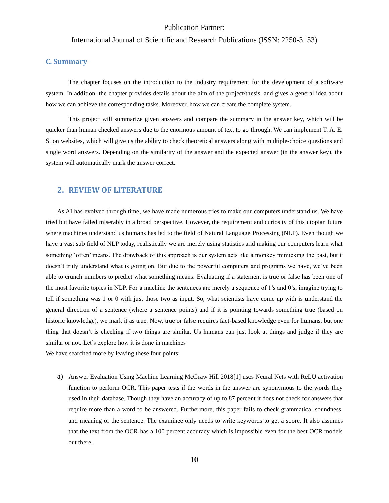#### International Journal of Scientific and Research Publications (ISSN: 2250-3153)

#### **C. Summary**

The chapter focuses on the introduction to the industry requirement for the development of a software system. In addition, the chapter provides details about the aim of the project/thesis, and gives a general idea about how we can achieve the corresponding tasks. Moreover, how we can create the complete system.

This project will summarize given answers and compare the summary in the answer key, which will be quicker than human checked answers due to the enormous amount of text to go through. We can implement T. A. E. S. on websites, which will give us the ability to check theoretical answers along with multiple-choice questions and single word answers. Depending on the similarity of the answer and the expected answer (in the answer key), the system will automatically mark the answer correct.

#### **2. REVIEW OF LITERATURE**

<span id="page-10-0"></span>As AI has evolved through time, we have made numerous tries to make our computers understand us. We have tried but have failed miserably in a broad perspective. However, the requirement and curiosity of this utopian future where machines understand us humans has led to the field of Natural Language Processing (NLP). Even though we have a vast sub field of NLP today, realistically we are merely using statistics and making our computers learn what something 'often' means. The drawback of this approach is our system acts like a monkey mimicking the past, but it doesn't truly understand what is going on. But due to the powerful computers and programs we have, we've been able to crunch numbers to predict what something means. Evaluating if a statement is true or false has been one of the most favorite topics in NLP. For a machine the sentences are merely a sequence of 1's and 0's, imagine trying to tell if something was 1 or 0 with just those two as input. So, what scientists have come up with is understand the general direction of a sentence (where a sentence points) and if it is pointing towards something true (based on historic knowledge), we mark it as true. Now, true or false requires fact-based knowledge even for humans, but one thing that doesn't is checking if two things are similar. Us humans can just look at things and judge if they are similar or not. Let's explore how it is done in machines

We have searched more by leaving these four points:

a) Answer Evaluation Using Machine Learning McGraw Hill 2018[1] uses Neural Nets with ReLU activation function to perform OCR. This paper tests if the words in the answer are synonymous to the words they used in their database. Though they have an accuracy of up to 87 percent it does not check for answers that require more than a word to be answered. Furthermore, this paper fails to check grammatical soundness, and meaning of the sentence. The examinee only needs to write keywords to get a score. It also assumes that the text from the OCR has a 100 percent accuracy which is impossible even for the best OCR models out there.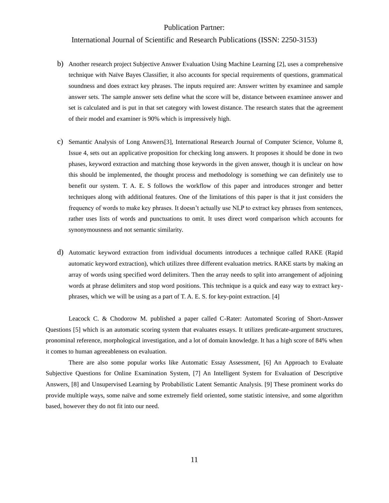#### International Journal of Scientific and Research Publications (ISSN: 2250-3153)

- b) Another research project Subjective Answer Evaluation Using Machine Learning [2], uses a comprehensive technique with Naïve Bayes Classifier, it also accounts for special requirements of questions, grammatical soundness and does extract key phrases. The inputs required are: Answer written by examinee and sample answer sets. The sample answer sets define what the score will be, distance between examinee answer and set is calculated and is put in that set category with lowest distance. The research states that the agreement of their model and examiner is 90% which is impressively high.
- c) Semantic Analysis of Long Answers[3], International Research Journal of Computer Science, Volume 8, Issue 4, sets out an applicative proposition for checking long answers. It proposes it should be done in two phases, keyword extraction and matching those keywords in the given answer, though it is unclear on how this should be implemented, the thought process and methodology is something we can definitely use to benefit our system. T. A. E. S follows the workflow of this paper and introduces stronger and better techniques along with additional features. One of the limitations of this paper is that it just considers the frequency of words to make key phrases. It doesn't actually use NLP to extract key phrases from sentences, rather uses lists of words and punctuations to omit. It uses direct word comparison which accounts for synonymousness and not semantic similarity.
- d) Automatic keyword extraction from individual documents introduces a technique called RAKE (Rapid automatic keyword extraction), which utilizes three different evaluation metrics. RAKE starts by making an array of words using specified word delimiters. Then the array needs to split into arrangement of adjoining words at phrase delimiters and stop word positions. This technique is a quick and easy way to extract keyphrases, which we will be using as a part of T. A. E. S. for key-point extraction. [4]

Leacock C. & Chodorow M. published a paper called C-Rater: Automated Scoring of Short-Answer Questions [5] which is an automatic scoring system that evaluates essays. It utilizes predicate-argument structures, pronominal reference, morphological investigation, and a lot of domain knowledge. It has a high score of 84% when it comes to human agreeableness on evaluation.

There are also some popular works like Automatic Essay Assessment, [6] An Approach to Evaluate Subjective Questions for Online Examination System, [7] An Intelligent System for Evaluation of Descriptive Answers, [8] and Unsupervised Learning by Probabilistic Latent Semantic Analysis. [9] These prominent works do provide multiple ways, some naïve and some extremely field oriented, some statistic intensive, and some algorithm based, however they do not fit into our need.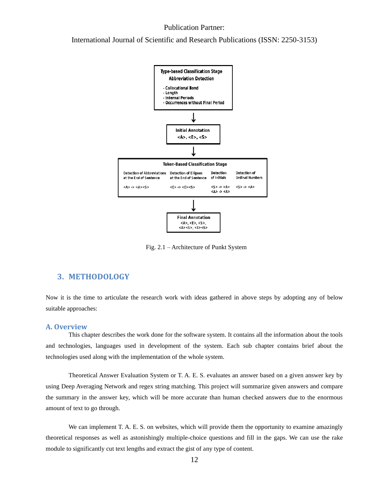#### International Journal of Scientific and Research Publications (ISSN: 2250-3153)



Fig. 2.1 – Architecture of Punkt System

#### **3. METHODOLOGY**

Now it is the time to articulate the research work with ideas gathered in above steps by adopting any of below suitable approaches:

#### **A. Overview**

This chapter describes the work done for the software system. It contains all the information about the tools and technologies, languages used in development of the system. Each sub chapter contains brief about the technologies used along with the implementation of the whole system.

Theoretical Answer Evaluation System or T. A. E. S. evaluates an answer based on a given answer key by using Deep Averaging Network and regex string matching. This project will summarize given answers and compare the summary in the answer key, which will be more accurate than human checked answers due to the enormous amount of text to go through.

We can implement T. A. E. S. on websites, which will provide them the opportunity to examine amazingly theoretical responses as well as astonishingly multiple-choice questions and fill in the gaps. We can use the rake module to significantly cut text lengths and extract the gist of any type of content.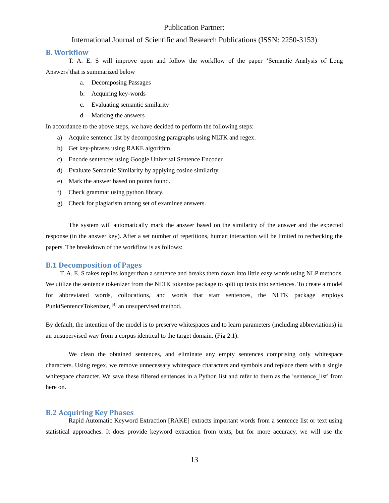#### International Journal of Scientific and Research Publications (ISSN: 2250-3153)

#### **B. Workflow**

T. A. E. S will improve upon and follow the workflow of the paper 'Semantic Analysis of Long Answers'that is summarized below

- a. Decomposing Passages
- b. Acquiring key-words
- c. Evaluating semantic similarity
- d. Marking the answers

In accordance to the above steps, we have decided to perform the following steps:

- a) Acquire sentence list by decomposing paragraphs using NLTK and regex.
- b) Get key-phrases using RAKE algorithm.
- c) Encode sentences using Google Universal Sentence Encoder.
- d) Evaluate Semantic Similarity by applying cosine similarity.
- e) Mark the answer based on points found.
- f) Check grammar using python library.
- g) Check for plagiarism among set of examinee answers.

The system will automatically mark the answer based on the similarity of the answer and the expected response (in the answer key). After a set number of repetitions, human interaction will be limited to rechecking the papers. The breakdown of the workflow is as follows:

#### **B.1 Decomposition of Pages**

T. A. E. S takes replies longer than a sentence and breaks them down into little easy words using NLP methods. We utilize the sentence tokenizer from the NLTK tokenize package to split up texts into sentences. To create a model for abbreviated words, collocations, and words that start sentences, the NLTK package employs PunktSentenceTokenizer, [4] an unsupervised method.

By default, the intention of the model is to preserve whitespaces and to learn parameters (including abbreviations) in an unsupervised way from a corpus identical to the target domain. (Fig 2.1).

We clean the obtained sentences, and eliminate any empty sentences comprising only whitespace characters. Using regex, we remove unnecessary whitespace characters and symbols and replace them with a single whitespace character. We save these filtered sentences in a Python list and refer to them as the 'sentence\_list' from here on.

#### **B.2 Acquiring Key Phases**

Rapid Automatic Keyword Extraction [RAKE] extracts important words from a sentence list or text using statistical approaches. It does provide keyword extraction from texts, but for more accuracy, we will use the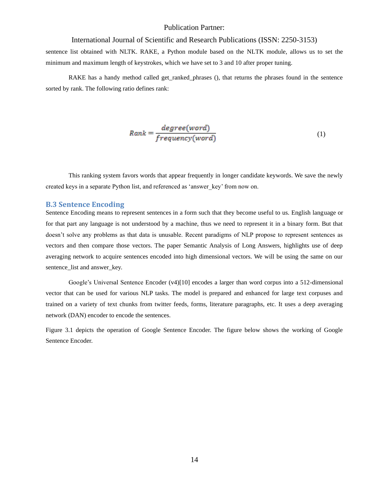#### International Journal of Scientific and Research Publications (ISSN: 2250-3153)

sentence list obtained with NLTK. RAKE, a Python module based on the NLTK module, allows us to set the minimum and maximum length of keystrokes, which we have set to 3 and 10 after proper tuning.

RAKE has a handy method called get ranked phrases (), that returns the phrases found in the sentence sorted by rank. The following ratio defines rank:

$$
Rank = \frac{degree(word)}{frequency(word)}\tag{1}
$$

This ranking system favors words that appear frequently in longer candidate keywords. We save the newly created keys in a separate Python list, and referenced as 'answer\_key' from now on.

#### **B.3 Sentence Encoding**

<span id="page-14-0"></span>Sentence Encoding means to represent sentences in a form such that they become useful to us. English language or for that part any language is not understood by a machine, thus we need to represent it in a binary form. But that doesn't solve any problems as that data is unusable. Recent paradigms of NLP propose to represent sentences as vectors and then compare those vectors. The paper Semantic Analysis of Long Answers, highlights use of deep averaging network to acquire sentences encoded into high dimensional vectors. We will be using the same on our sentence\_list and answer\_key.

Google's Universal Sentence Encoder (v4)[10] encodes a larger than word corpus into a 512-dimensional vector that can be used for various NLP tasks. The model is prepared and enhanced for large text corpuses and trained on a variety of text chunks from twitter feeds, forms, literature paragraphs, etc. It uses a deep averaging network (DAN) encoder to encode the sentences.

Figure 3.1 depicts the operation of Google Sentence Encoder. The figure below shows the working of Google Sentence Encoder.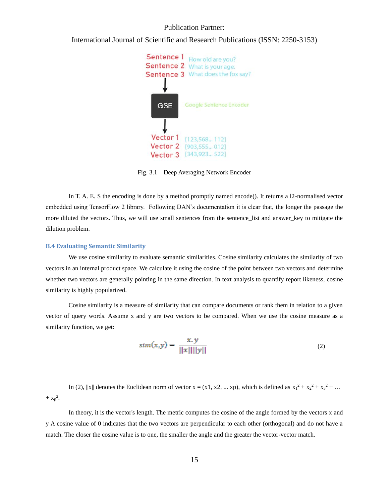International Journal of Scientific and Research Publications (ISSN: 2250-3153)



Fig. 3.1 – Deep Averaging Network Encoder

In T. A. E. S the encoding is done by a method promptly named encode(). It returns a 12-normalised vector embedded using TensorFlow 2 library. Following DAN's documentation it is clear that, the longer the passage the more diluted the vectors. Thus, we will use small sentences from the sentence list and answer key to mitigate the dilution problem.

#### **B.4 Evaluating Semantic Similarity**

We use cosine similarity to evaluate semantic similarities. Cosine similarity calculates the similarity of two vectors in an internal product space. We calculate it using the cosine of the point between two vectors and determine whether two vectors are generally pointing in the same direction. In text analysis to quantify report likeness, cosine similarity is highly popularized.

Cosine similarity is a measure of similarity that can compare documents or rank them in relation to a given vector of query words. Assume x and y are two vectors to be compared. When we use the cosine measure as a similarity function, we get:

$$
sim(x,y) = \frac{x,y}{||x||||y||}
$$
 (2)

In (2), ||x|| denotes the Euclidean norm of vector  $x = (x1, x2, ... xp)$ , which is defined as  $x_1^2 + x_2^2 + x_3^2 + ...$  $+ x_p^2$ .

In theory, it is the vector's length. The metric computes the cosine of the angle formed by the vectors x and y A cosine value of 0 indicates that the two vectors are perpendicular to each other (orthogonal) and do not have a match. The closer the cosine value is to one, the smaller the angle and the greater the vector-vector match.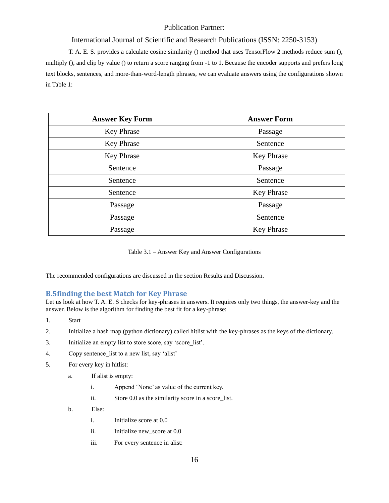#### International Journal of Scientific and Research Publications (ISSN: 2250-3153)

T. A. E. S. provides a calculate cosine similarity () method that uses TensorFlow 2 methods reduce sum (), multiply (), and clip by value () to return a score ranging from -1 to 1. Because the encoder supports and prefers long text blocks, sentences, and more-than-word-length phrases, we can evaluate answers using the configurations shown in Table 1:

| <b>Answer Key Form</b> | <b>Answer Form</b> |
|------------------------|--------------------|
| <b>Key Phrase</b>      | Passage            |
| Key Phrase             | Sentence           |
| <b>Key Phrase</b>      | Key Phrase         |
| Sentence               | Passage            |
| Sentence               | Sentence           |
| Sentence               | Key Phrase         |
| Passage                | Passage            |
| Passage                | Sentence           |
| Passage                | <b>Key Phrase</b>  |

Table 3.1 – Answer Key and Answer Configurations

The recommended configurations are discussed in the section Results and Discussion.

#### **B.5finding the best Match for Key Phrase**

Let us look at how T. A. E. S checks for key-phrases in answers. It requires only two things, the answer-key and the answer. Below is the algorithm for finding the best fit for a key-phrase:

- 1. Start
- 2. Initialize a hash map (python dictionary) called hitlist with the key-phrases as the keys of the dictionary.
- 3. Initialize an empty list to store score, say 'score\_list'.
- 4. Copy sentence list to a new list, say 'alist'
- 5. For every key in hitlist:
	- a. If alist is empty:
		- i. Append 'None' as value of the current key.
		- ii. Store 0.0 as the similarity score in a score\_list.
	- b. Else:
		- i. Initialize score at 0.0
		- ii. Initialize new\_score at 0.0
		- iii. For every sentence in alist: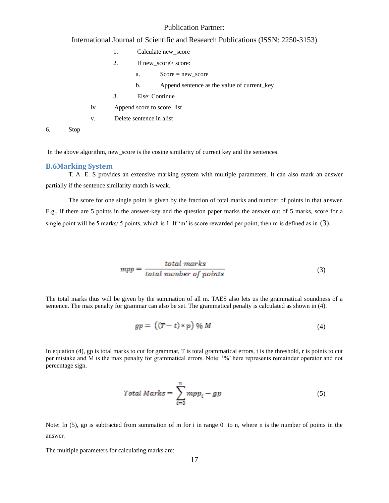#### International Journal of Scientific and Research Publications (ISSN: 2250-3153)

- 1. Calculate new\_score
- 2. If new\_score> score:
	- a. Score = new\_score
	- b. Append sentence as the value of current\_key
- 3. Else: Continue
- iv. Append score to score\_list
- v. Delete sentence in alist

6. Stop

In the above algorithm, new\_score is the cosine similarity of current key and the sentences.

#### **B.6Marking System**

T. A. E. S provides an extensive marking system with multiple parameters. It can also mark an answer partially if the sentence similarity match is weak.

The score for one single point is given by the fraction of total marks and number of points in that answer. E.g., if there are 5 points in the answer-key and the question paper marks the answer out of 5 marks, score for a single point will be 5 marks/ 5 points, which is 1. If 'm' is score rewarded per point, then m is defined as in (3).

$$
mpp = \frac{total\ marks}{total\ number\ of\ points} \tag{3}
$$

The total marks thus will be given by the summation of all m. TAES also lets us the grammatical soundness of a sentence. The max penalty for grammar can also be set. The grammatical penalty is calculated as shown in (4).

$$
gp = ((T - t) * p) \% M \tag{4}
$$

In equation (4), gp is total marks to cut for grammar, T is total grammatical errors, t is the threshold, r is points to cut per mistake and M is the max penalty for grammatical errors. Note: '%' here represents remainder operator and not percentage sign.

$$
Total \text{ Marks} = \sum_{i=0}^{n} mpp_i - gp \tag{5}
$$

Note: In  $(5)$ , gp is subtracted from summation of m for i in range 0 to n, where n is the number of points in the answer.

The multiple parameters for calculating marks are: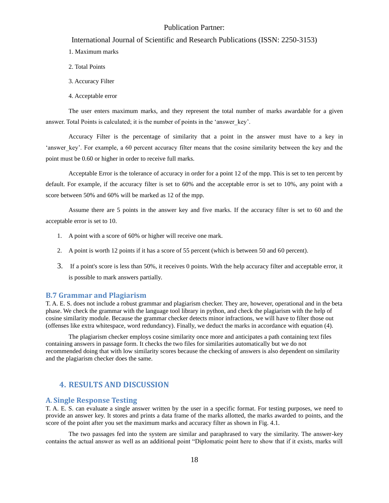#### International Journal of Scientific and Research Publications (ISSN: 2250-3153)

- 1. Maximum marks
- 2. Total Points
- 3. Accuracy Filter
- 4. Acceptable error

The user enters maximum marks, and they represent the total number of marks awardable for a given answer. Total Points is calculated; it is the number of points in the 'answer key'.

Accuracy Filter is the percentage of similarity that a point in the answer must have to a key in 'answer key'. For example, a 60 percent accuracy filter means that the cosine similarity between the key and the point must be 0.60 or higher in order to receive full marks.

Acceptable Error is the tolerance of accuracy in order for a point 12 of the mpp. This is set to ten percent by default. For example, if the accuracy filter is set to 60% and the acceptable error is set to 10%, any point with a score between 50% and 60% will be marked as 12 of the mpp.

Assume there are 5 points in the answer key and five marks. If the accuracy filter is set to 60 and the acceptable error is set to 10.

- 1. A point with a score of 60% or higher will receive one mark.
- 2. A point is worth 12 points if it has a score of 55 percent (which is between 50 and 60 percent).
- 3. If a point's score is less than 50%, it receives 0 points. With the help accuracy filter and acceptable error, it is possible to mark answers partially.

#### **B.7 Grammar and Plagiarism**

T. A. E. S. does not include a robust grammar and plagiarism checker. They are, however, operational and in the beta phase. We check the grammar with the language tool library in python, and check the plagiarism with the help of cosine similarity module. Because the grammar checker detects minor infractions, we will have to filter those out (offenses like extra whitespace, word redundancy). Finally, we deduct the marks in accordance with equation (4).

The plagiarism checker employs cosine similarity once more and anticipates a path containing text files containing answers in passage form. It checks the two files for similarities automatically but we do not recommended doing that with low similarity scores because the checking of answers is also dependent on similarity and the plagiarism checker does the same.

#### **4. RESULTS AND DISCUSSION**

#### **A. Single Response Testing**

T. A. E. S. can evaluate a single answer written by the user in a specific format. For testing purposes, we need to provide an answer key. It stores and prints a data frame of the marks allotted, the marks awarded to points, and the score of the point after you set the maximum marks and accuracy filter as shown in Fig. 4.1.

The two passages fed into the system are similar and paraphrased to vary the similarity. The answer-key contains the actual answer as well as an additional point "Diplomatic point here to show that if it exists, marks will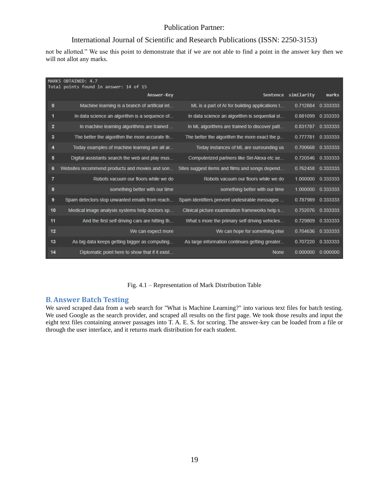#### International Journal of Scientific and Research Publications (ISSN: 2250-3153)

not be allotted." We use this point to demonstrate that if we are not able to find a point in the answer key then we will not allot any marks.

|          | MARKS OBTAINED: 4.7<br>Total points found in answer: 14 of 15 |                                                |                     |          |
|----------|---------------------------------------------------------------|------------------------------------------------|---------------------|----------|
|          | <b>Answer-Key</b>                                             |                                                | Sentence similarity | marks    |
| $\bf{0}$ | Machine learning is a branch of artificial int                | ML is a part of AI for building applications t | 0.712884            | 0.333333 |
| 1        | In data science an algorithm is a sequence of                 | In data science an algorithm is sequential st  | 0.881099            | 0.333333 |
| 2        | In machine learning algorithms are trained                    | In ML algorithms are trained to discover patt  | 0.831787            | 0.333333 |
| з        | The better the algorithm the more accurate th                 | The better the algorithm the more exact the p  | 0.777781            | 0.333333 |
| 4        | Today examples of machine learning are all ar                 | Today instances of ML are surrounding us       | 0.700668            | 0.333333 |
| 5        | Digital assistants search the web and play mus                | Computerized partners like Siri Alexa etc se   | 0.720546            | 0.333333 |
| 6        | Websites recommend products and movies and son                | Sites suggest items and films and songs depend | 0.762458            | 0.333333 |
| 7        | Robots vacuum our floors while we do                          | Robots vacuum our floors while we do           | 1.000000            | 0.333333 |
| 8        | something better with our time                                | something better with our time                 | 1.000000            | 0.333333 |
| 9        | Spam detectors stop unwanted emails from reach                | Spam identifiers prevent undesirable messages  | 0.787989            | 0.333333 |
| 10       | Medical image analysis systems help doctors sp                | Clinical picture examination frameworks help s | 0.752076            | 0.333333 |
| 11       | And the first self driving cars are hitting th                | What s more the primary self driving vehicles  | 0.729809            | 0.333333 |
| 12       | We can expect more                                            | We can hope for something else                 | 0.704636            | 0.333333 |
| 13       | As big data keeps getting bigger as computing                 | As large information continues getting greater | 0.707220            | 0.333333 |
| 14       | Diplomatic point here to show that if it exist                | <b>None</b>                                    | 0.000000            | 0.000000 |

Fig. 4.1 – Representation of Mark Distribution Table

#### <span id="page-19-0"></span>**B. Answer Batch Testing**

We saved scraped data from a web search for "What is Machine Learning?" into various text files for batch testing. We used Google as the search provider, and scraped all results on the first page. We took those results and input the eight text files containing answer passages into T. A. E. S. for scoring. The answer-key can be loaded from a file or through the user interface, and it returns mark distribution for each student.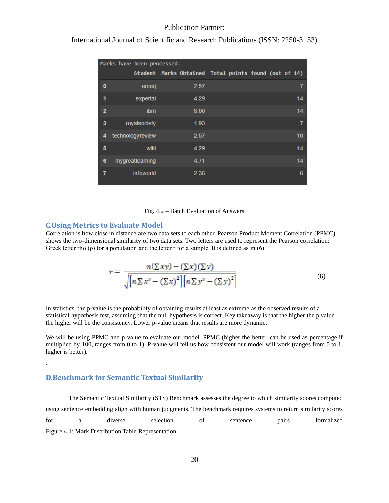|          | Marks have been processed. |      |                                                       |
|----------|----------------------------|------|-------------------------------------------------------|
|          |                            |      | Student Marks Obtained Total points found (out of 14) |
| $\bf{0}$ | emeri                      | 2.57 | 7                                                     |
| 1        | expertai                   | 4.29 | 14                                                    |
| 2        | ibm                        | 6.00 | 14                                                    |
| 3        | royalsociety               | 1.93 | 7                                                     |
| 4        | technologyreview           | 2.57 | 10                                                    |
| 5        | wiki                       | 4.29 | 14                                                    |
| 6        | mygreatlearning            | 4.71 | 14                                                    |
| 7        | <i>infoworld</i>           | 2.36 | 6                                                     |

International Journal of Scientific and Research Publications (ISSN: 2250-3153)

#### Fig. 4.2 – Batch Evaluation of Answers

#### <span id="page-20-0"></span>**C.Using Metrics to Evaluate Model**

Correlation is how close in distance are two data sets to each other. Pearson Product Moment Correlation (PPMC) shows the two-dimensional similarity of two data sets. Two letters are used to represent the Pearson correlation: Greek letter rho  $(\rho)$  for a population and the letter r for a sample. It is defined as in (6).

$$
r = \frac{n(\Sigma xy) - (\Sigma x)(\Sigma y)}{\sqrt{\left[n\Sigma x^2 - (\Sigma x)^2\right]\left[n\Sigma y^2 - (\Sigma y)^2\right]}}
$$
(6)

In statistics, the p-value is the probability of obtaining results at least as extreme as the observed results of a statistical hypothesis test, assuming that the null hypothesis is correct. Key takeaway is that the higher the p value the higher will be the consistency. Lower p-value means that results are more dynamic.

We will be using PPMC and p-value to evaluate our model. PPMC (higher the better, can be used as percentage if multiplied by 100, ranges from 0 to 1). P-value will tell us how consistent our model will work (ranges from 0 to 1, higher is better).

#### **D.Benchmark for Semantic Textual Similarity**

.

The Semantic Textual Similarity (STS) Benchmark assesses the degree to which similarity scores computed using sentence embedding align with human judgments. The benchmark requires systems to return similarity scores for a diverse selection of sentence pairs formalized Figure 4.1: Mark Distribution Table Representation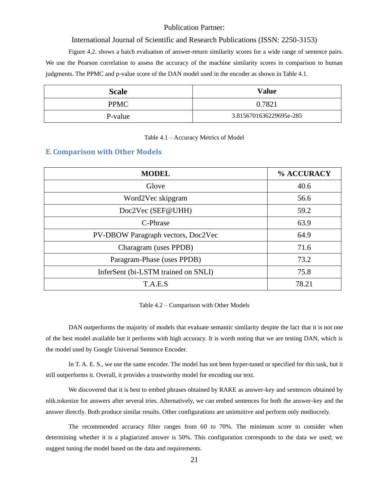#### International Journal of Scientific and Research Publications (ISSN: 2250-3153)

Figure 4.2. shows a batch evaluation of answer-return similarity scores for a wide range of sentence pairs. We use the Pearson correlation to assess the accuracy of the machine similarity scores in comparison to human judgments. The PPMC and p-value score of the DAN model used in the encoder as shown in Table 4.1.

| <b>Scale</b> | <b>Value</b>            |
|--------------|-------------------------|
| <b>PPMC</b>  | 0.7821                  |
| P-value      | 3.8156701636229695e-285 |

#### Table 4.1 – Accuracy Metrics of Model

#### **E. Comparison with Other Models**

| <b>MODEL</b>                        | % ACCURACY |
|-------------------------------------|------------|
| Glove                               | 40.6       |
| Word2Vec skipgram                   | 56.6       |
| Doc2Vec (SEF@UHH)                   | 59.2       |
| C-Phrase                            | 63.9       |
| PV-DBOW Paragraph vectors, Doc2Vec  | 64.9       |
| Charagram (uses PPDB)               | 71.6       |
| Paragram-Phase (uses PPDB)          | 73.2       |
| InferSent (bi-LSTM trained on SNLI) | 75.8       |
| T.A.E.S                             | 78.21      |

Table 4.2 – Comparison with Other Models

DAN outperforms the majority of models that evaluate semantic similarity despite the fact that it is not one of the best model available but it performs with high accuracy. It is worth noting that we are testing DAN, which is the model used by Google Universal Sentence Encoder.

In T. A. E. S., we use the same encoder. The model has not been hyper-tuned or specified for this task, but it still outperforms it. Overall, it provides a trustworthy model for encoding our text.

We discovered that it is best to embed phrases obtained by RAKE as answer-key and sentences obtained by nltk.tokenize for answers after several tries. Alternatively, we can embed sentences for both the answer-key and the answer directly. Both produce similar results. Other configurations are unintuitive and perform only mediocrely.

The recommended accuracy filter ranges from 60 to 70%. The minimum score to consider when determining whether it is a plagiarized answer is 50%. This configuration corresponds to the data we used; we suggest tuning the model based on the data and requirements.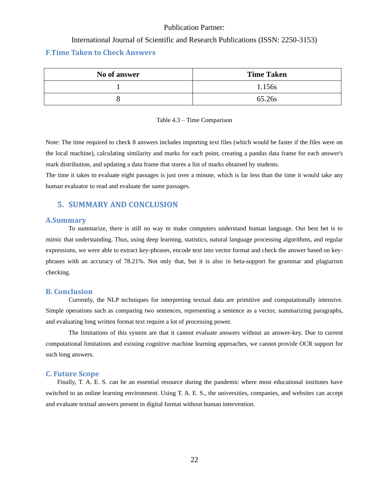#### International Journal of Scientific and Research Publications (ISSN: 2250-3153)

#### **F.Time Taken to Check Answers**

| No of answer | <b>Time Taken</b> |
|--------------|-------------------|
|              | 1.156s            |
|              | 65.26s            |

#### Table 4.3 – Time Comparison

Note: The time required to check 8 answers includes importing text files (which would be faster if the files were on the local machine), calculating similarity and marks for each point, creating a pandas data frame for each answer's mark distribution, and updating a data frame that stores a list of marks obtained by students.

The time it takes to evaluate eight passages is just over a minute, which is far less than the time it would take any human evaluator to read and evaluate the same passages.

#### **5. SUMMARY AND CONCLUSION**

#### **A.Summary**

To summarize, there is still no way to make computers understand human language. Our best bet is to mimic that understanding. Thus, using deep learning, statistics, natural language processing algorithms, and regular expressions, we were able to extract key-phrases, encode text into vector format and check the answer based on keyphrases with an accuracy of 78.21%. Not only that, but it is also in beta-support for grammar and plagiarism checking.

#### <span id="page-22-0"></span>**B. Conclusion**

Currently, the NLP techniques for interpreting textual data are primitive and computationally intensive. Simple operations such as comparing two sentences, representing a sentence as a vector, summarizing paragraphs, and evaluating long written format text require a lot of processing power.

The limitations of this system are that it cannot evaluate answers without an answer-key. Due to current computational limitations and existing cognitive machine learning approaches, we cannot provide OCR support for such long answers.

#### <span id="page-22-1"></span>**C. Future Scope**

Finally, T. A. E. S. can be an essential resource during the pandemic where most educational institutes have switched to an online learning environment. Using T. A. E. S., the universities, companies, and websites can accept and evaluate textual answers present in digital format without human intervention.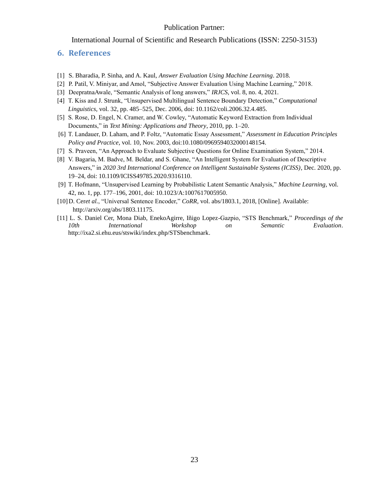International Journal of Scientific and Research Publications (ISSN: 2250-3153)

#### **6. References**

- [1] S. Bharadia, P. Sinha, and A. Kaul, *Answer Evaluation Using Machine Learning*. 2018.
- [2] P. Patil, V. Miniyar, and Amol, "Subjective Answer Evaluation Using Machine Learning," 2018.
- [3] DeepratnaAwale, "Semantic Analysis of long answers," *IRJCS*, vol. 8, no. 4, 2021.
- [4] T. Kiss and J. Strunk, "Unsupervised Multilingual Sentence Boundary Detection," *Computational Linguistics*, vol. 32, pp. 485–525, Dec. 2006, doi: 10.1162/coli.2006.32.4.485.
- [5] S. Rose, D. Engel, N. Cramer, and W. Cowley, "Automatic Keyword Extraction from Individual Documents," in *Text Mining: Applications and Theory*, 2010, pp. 1–20.
- [6] T. Landauer, D. Laham, and P. Foltz, "Automatic Essay Assessment," *Assessment in Education Principles Policy and Practice*, vol. 10, Nov. 2003, doi:10.1080/0969594032000148154.
- [7] S. Praveen, "An Approach to Evaluate Subjective Questions for Online Examination System," 2014.
- [8] V. Bagaria, M. Badve, M. Beldar, and S. Ghane, "An Intelligent System for Evaluation of Descriptive Answers," in *2020 3rd International Conference on Intelligent Sustainable Systems (ICISS)*, Dec. 2020, pp. 19–24, doi: 10.1109/ICISS49785.2020.9316110.
- [9] T. Hofmann, "Unsupervised Learning by Probabilistic Latent Semantic Analysis," *Machine Learning*, vol. 42, no. 1, pp. 177–196, 2001, doi: 10.1023/A:1007617005950.
- [10]D. Cer*et al.*, "Universal Sentence Encoder," *CoRR*, vol. abs/1803.1, 2018, [Online]. Available: [http://arxiv.org/abs/1803.11175.](http://arxiv.org/abs/1803.11175)
- [11] L. S. Daniel Cer, Mona Diab, EnekoAgirre, Iñigo Lopez-Gazpio, "STS Benchmark," *Proceedings of the 10th International Workshop on Semantic Evaluation*. [http://ixa2.si.ehu.eus/stswiki/index.php/STSbenchmark.](http://ixa2.si.ehu.eus/stswiki/index.php/STSbenchmark)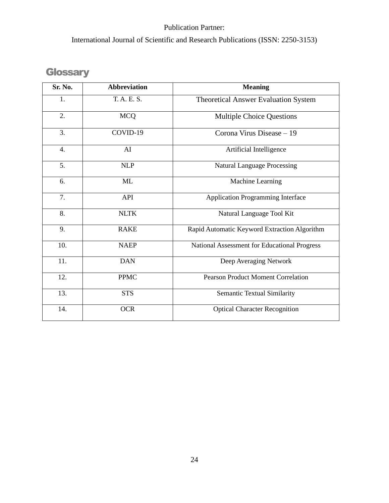International Journal of Scientific and Research Publications (ISSN: 2250-3153)

# **Glossary**

| Sr. No.          | <b>Abbreviation</b> | <b>Meaning</b>                               |
|------------------|---------------------|----------------------------------------------|
| 1.               | T. A. E. S.         | Theoretical Answer Evaluation System         |
| 2.               | <b>MCQ</b>          | <b>Multiple Choice Questions</b>             |
| 3.               | COVID-19            | Corona Virus Disease - 19                    |
| $\overline{4}$ . | AI                  | Artificial Intelligence                      |
| 5.               | <b>NLP</b>          | <b>Natural Language Processing</b>           |
| 6.               | <b>ML</b>           | Machine Learning                             |
| 7.               | API                 | <b>Application Programming Interface</b>     |
| 8.               | <b>NLTK</b>         | Natural Language Tool Kit                    |
| 9.               | <b>RAKE</b>         | Rapid Automatic Keyword Extraction Algorithm |
| 10.              | <b>NAEP</b>         | National Assessment for Educational Progress |
| 11.              | <b>DAN</b>          | Deep Averaging Network                       |
| 12.              | <b>PPMC</b>         | <b>Pearson Product Moment Correlation</b>    |
| 13.              | <b>STS</b>          | <b>Semantic Textual Similarity</b>           |
| 14.              | <b>OCR</b>          | <b>Optical Character Recognition</b>         |